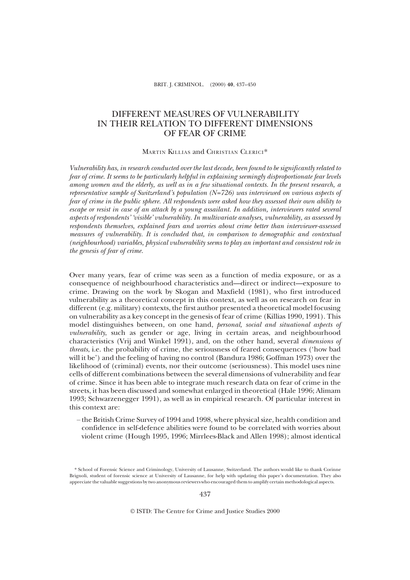# DIFFERENT MEASURES OF VULNERABILITY IN THEIR RELATION TO DIFFERENT DIMENSIONS OF FEAR OF CRIME

# MARTIN KILLIAS and CHRISTIAN CLERICI\*

*Vulnerability has, in research conducted over the last decade, been found to be significantly related to fear of crime. It seems to be particularly helpful in explaining seemingly disproportionate fear levels among women and the elderly, as well as in a few situational contexts. In the present research, a representative sample of Switzerland's population (N=726) was interviewed on various aspects of fear of crime in the public sphere. All respondents were asked how they assessed their own ability to escape or resist in case of an attack by a young assailant. In addition, interviewers rated several aspects of respondents' 'visible' vulnerability. In multivariate analyses, vulnerability, as assessed by respondents themselves, explained fears and worries about crime better than interviewer-assessed measures of vulnerability. It is concluded that, in comparison to demographic and contextual (neighbourhood) variables, physical vulnerability seems to play an important and consistent role in the genesis of fear of crime.*

Over many years, fear of crime was seen as a function of media exposure, or as a consequence of neighbourhood characteristics and—direct or indirect—exposure to crime. Drawing on the work by Skogan and Maxfield (1981), who first introduced vulnerability as a theoretical concept in this context, as well as on research on fear in different (e.g. military) contexts, the first author presented a theoretical model focusing on vulnerability as a key concept in the genesis of fear of crime (Killias 1990, 1991). This model distinguishes between, on one hand, *personal, social and situational aspects of vulnerability*, such as gender or age, living in certain areas, and neighbourhood characteristics (Vrij and Winkel 1991), and, on the other hand, several *dimensions of threats*, i.e. the probability of crime, the seriousness of feared consequences ('how bad will it be') and the feeling of having no control (Bandura 1986; Goffman 1973) over the likelihood of (criminal) events, nor their outcome (seriousness). This model uses nine cells of different combinations between the several dimensions of vulnerability and fear of crime. Since it has been able to integrate much research data on fear of crime in the streets, it has been discussed and somewhat enlarged in theoretical (Hale 1996; Alimam 1993; Schwarzenegger 1991), as well as in empirical research. Of particular interest in this context are:

– the British Crime Survey of 1994 and 1998, where physical size, health condition and confidence in self-defence abilities were found to be correlated with worries about violent crime (Hough 1995, 1996; Mirrlees-Black and Allen 1998); almost identical

© ISTD: The Centre for Crime and Justice Studies 2000

<sup>\*</sup> School of Forensic Science and Criminology, University of Lausanne, Switzerland. The authors would like to thank Corinne Brignoli, student of forensic science at University of Lausanne, for help with updating this paper's documentation. They also appreciate the valuable suggestions by two anonymous reviewers who encouraged them to amplify certain methodological aspects.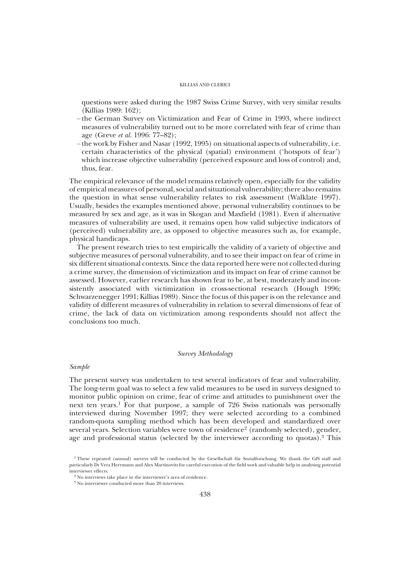questions were asked during the 1987 Swiss Crime Survey, with very similar results (Killias 1989: 162);

- the German Survey on Victimization and Fear of Crime in 1993, where indirect measures of vulnerability turned out to be more correlated with fear of crime than age (Greve *et al.* 1996: 77–82);
- the work by Fisher and Nasar (1992, 1995) on situational aspects of vulnerability, i.e. certain characteristics of the physical (spatial) environment ('hotspots of fear') which increase objective vulnerability (perceived exposure and loss of control) and, thus, fear.

The empirical relevance of the model remains relatively open, especially for the validity of empirical measures of personal, social and situational vulnerability; there also remains the question in what sense vulnerability relates to risk assessment (Walklate 1997). Usually, besides the examples mentioned above, personal vulnerability continues to be measured by sex and age, as it was in Skogan and Maxfield (1981). Even if alternative measures of vulnerability are used, it remains open how valid subjective indicators of (perceived) vulnerability are, as opposed to objective measures such as, for example, physical handicaps.

The present research tries to test empirically the validity of a variety of objective and subjective measures of personal vulnerability, and to see their impact on fear of crime in six different situational contexts. Since the data reported here were not collected during a crime survey, the dimension of victimization and its impact on fear of crime cannot be assessed. However, earlier research has shown fear to be, at best, moderately and inconsistently associated with victimization in cross-sectional research (Hough 1996; Schwarzenegger 1991; Killias 1989). Since the focus of this paper is on the relevance and validity of different measures of vulnerability in relation to several dimensions of fear of crime, the lack of data on victimization among respondents should not affect the conclusions too much.

# *Survey Methodology*

# *Sample*

The present survey was undertaken to test several indicators of fear and vulnerability. The long-term goal was to select a few valid measures to be used in surveys designed to monitor public opinion on crime, fear of crime and attitudes to punishment over the next ten years.1 For that purpose, a sample of 726 Swiss nationals was personally interviewed during November 1997; they were selected according to a combined random-quota sampling method which has been developed and standardized over several years. Selection variables were town of residence2 (randomly selected), gender, age and professional status (selected by the interviewer according to quotas).3 This

<sup>&</sup>lt;sup>1</sup> These repeated (annual) surveys will be conducted by the Gesellschaft für Sozialforschung. We thank the GfS staff and particularly Dr Vera Herrmann and Alex Martinovits for careful execution of the field work and valuable help in analysing potential interviewer effects.

<sup>2</sup> No interviews take place in the interviewer's area of residence.

<sup>&</sup>lt;sup>3</sup> No interviewer conducted more than 20 interviews.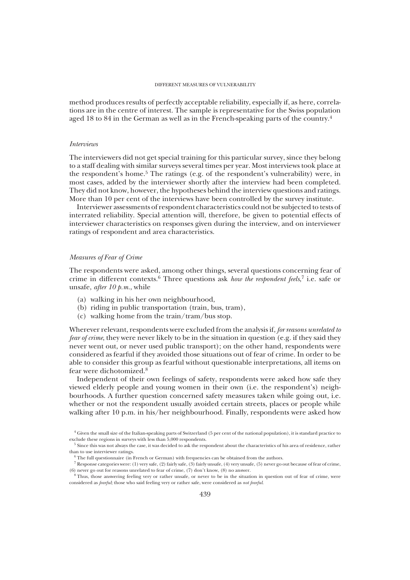method produces results of perfectly acceptable reliability, especially if, as here, correlations are in the centre of interest. The sample is representative for the Swiss population aged 18 to 84 in the German as well as in the French-speaking parts of the country.4

#### *Interviews*

The interviewers did not get special training for this particular survey, since they belong to a staff dealing with similar surveys several times per year. Most interviews took place at the respondent's home.<sup>5</sup> The ratings (e.g. of the respondent's vulnerability) were, in most cases, added by the interviewer shortly after the interview had been completed. They did not know, however, the hypotheses behind the interview questions and ratings. More than 10 per cent of the interviews have been controlled by the survey institute.

Interviewer assessments of respondent characteristics could not be subjected to tests of interrated reliability. Special attention will, therefore, be given to potential effects of interviewer characteristics on responses given during the interview, and on interviewer ratings of respondent and area characteristics.

# *Measures of Fear of Crime*

The respondents were asked, among other things, several questions concerning fear of crime in different contexts.6 Three questions ask *how the respondent feels*, <sup>7</sup> i.e. safe or unsafe, *after 10 p.m.*, while

- (a) walking in his her own neighbourhood,
- (b) riding in public transportation (train, bus, tram),
- (c) walking home from the train/tram/bus stop.

Wherever relevant, respondents were excluded from the analysis if, *for reasons unrelated to fear of crime*, they were never likely to be in the situation in question (e.g. if they said they never went out, or never used public transport); on the other hand, respondents were considered as fearful if they avoided those situations out of fear of crime. In order to be able to consider this group as fearful without questionable interpretations, all items on fear were dichotomized.8

Independent of their own feelings of safety, respondents were asked how safe they viewed elderly people and young women in their own (i.e. the respondent's) neighbourhoods. A further question concerned safety measures taken while going out, i.e. whether or not the respondent usually avoided certain streets, places or people while walking after 10 p.m. in his/her neighbourhood. Finally, respondents were asked how

<sup>4</sup> Given the small size of the Italian-speaking parts of Switzerland (5 per cent of the national population), it is standard practice to exclude these regions in surveys with less than 5,000 respondents.

<sup>5</sup> Since this was not always the case, it was decided to ask the respondent about the characteristics of his area of residence, rather than to use interviewer ratings.

<sup>&</sup>lt;sup>6</sup> The full questionnaire (in French or German) with frequencies can be obtained from the authors.

<sup>7</sup> Response categories were: (1) very safe, (2) fairly safe, (3) fairly unsafe, (4) very unsafe, (5) never go out because of fear of crime, (6) never go out for reasons unrelated to fear of crime, (7) don't know, (8) no answer.

<sup>8</sup> Thus, those answering feeling very or rather unsafe, or never to be in the situation in question out of fear of crime, were considered as *fearful*; those who said feeling very or rather safe, were considered as *not fearful*.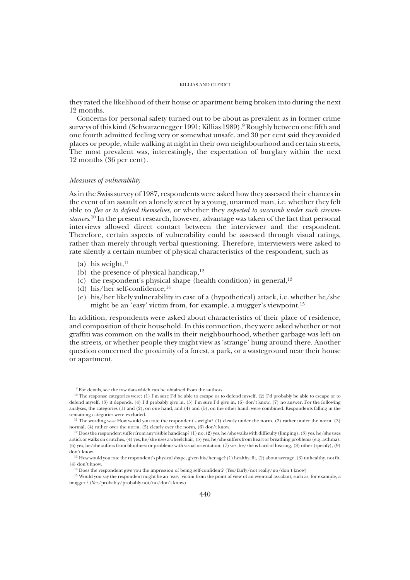they rated the likelihood of their house or apartment being broken into during the next 12 months.

Concerns for personal safety turned out to be about as prevalent as in former crime surveys of this kind (Schwarzenegger 1991; Killias 1989).<sup>9</sup> Roughly between one fifth and one fourth admitted feeling very or somewhat unsafe, and 30 per cent said they avoided places or people, while walking at night in their own neighbourhood and certain streets, The most prevalent was, interestingly, the expectation of burglary within the next 12 months (36 per cent).

# *Measures of vulnerability*

As in the Swiss survey of 1987, respondents were asked how they assessed their chances in the event of an assault on a lonely street by a young, unarmed man, i.e. whether they felt able to *flee or to defend themselves*, or whether they *expected to succumb under such circumstances*. <sup>10</sup> In the present research, however, advantage was taken of the fact that personal interviews allowed direct contact between the interviewer and the respondent. Therefore, certain aspects of vulnerability could be assessed through visual ratings, rather than merely through verbal questioning. Therefore, interviewers were asked to rate silently a certain number of physical characteristics of the respondent, such as

- (a) his weight, $11$
- (b) the presence of physical handicap, $12$
- (c) the respondent's physical shape (health condition) in general,13
- (d) his/her self-confidence, $^{14}$
- (e) his/her likely vulnerability in case of a (hypothetical) attack, i.e. whether he/she might be an 'easy' victim from, for example, a mugger's viewpoint.15

In addition, respondents were asked about characteristics of their place of residence, and composition of their household. In this connection, they were asked whether or not graffiti was common on the walls in their neighbourhood, whether garbage was left on the streets, or whether people they might view as 'strange' hung around there. Another question concerned the proximity of a forest, a park, or a wasteground near their house or apartment.

 $9$  For details, see the raw data which can be obtained from the authors.

<sup>&</sup>lt;sup>10</sup> The response categories were: (1) I'm sure I'd be able to escape or to defend myself, (2) I'd probably be able to escape or to defend myself, (3) it depends, (4) I'd probably give in, (5) I'm sure I'd give in, (6) don't know, (7) no answer. For the following analyses, the categories (1) and (2), on one hand, and (4) and (5), on the other hand, were combined. Respondents falling in the remaining categories were excluded.

<sup>&</sup>lt;sup>11</sup> The wording was: How would you rate the respondent's weight? (1) clearly under the norm, (2) rather under the norm, (3) normal, (4) rather over the norm, (5) clearly over the norm, (6) don't know.

<sup>&</sup>lt;sup>12</sup> Does the respondent suffer from any visible handicap? (1) no, (2) yes, he/she walks with difficulty (limping), (3) yes, he/she uses a stick or walks on crutches, (4) yes, he/she uses a wheelchair, (5) yes, he/she suffers from heart or breathing problems (e.g. asthma), (6) yes, he/she suffers from blindness or problems with visual orientation, (7) yes, he/she is hard of hearing, (8) other (specify), (9) don't know.

<sup>&</sup>lt;sup>13</sup> How would you rate the respondent's physical shape, given his/her age? (1) healthy, fit, (2) about average, (3) unhealthy, not fit, (4) don't know.

<sup>14</sup> Does the respondent give you the impression of being self-confident? (Yes/fairly/not really/no/don't know)

<sup>&</sup>lt;sup>15</sup> Would you say the respondent might be an 'easy' victim from the point of view of an eventual assailant, such as, for example, a mugger ? (Yes/probably/probably not/no/don't know).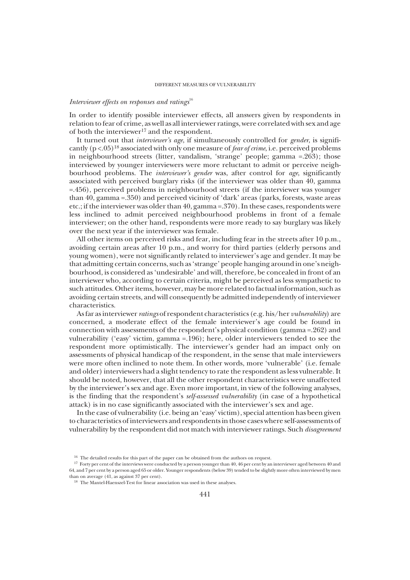# *Interviewer effects on responses and ratings*<sup>16</sup>

In order to identify possible interviewer effects, all answers given by respondents in relation to fear of crime, as well as all interviewer ratings, were correlated with sex and age of both the interviewer<sup>17</sup> and the respondent.

It turned out that *interviewer's age*, if simultaneously controlled for *gender*, is significantly (p <.05)18 associated with only one measure of *fear of crime*, i.e. perceived problems in neighbourhood streets (litter, vandalism, 'strange' people; gamma =.263); those interviewed by younger interviewers were more reluctant to admit or perceive neighbourhood problems. The *interviewer's gender* was, after control for *age*, significantly associated with perceived burglary risks (if the interviewer was older than 40, gamma =.456), perceived problems in neighbourhood streets (if the interviewer was younger than 40, gamma =.350) and perceived vicinity of 'dark' areas (parks, forests, waste areas etc.; if the interviewer was older than 40, gamma =.370). In these cases, respondents were less inclined to admit perceived neighbourhood problems in front of a female interviewer; on the other hand, respondents were more ready to say burglary was likely over the next year if the interviewer was female.

All other items on perceived risks and fear, including fear in the streets after 10 p.m., avoiding certain areas after 10 p.m., and worry for third parties (elderly persons and young women), were not significantly related to interviewer's age and gender. It may be that admitting certain concerns, such as 'strange' people hanging around in one's neighbourhood, is considered as 'undesirable' and will, therefore, be concealed in front of an interviewer who, according to certain criteria, might be perceived as less sympathetic to such attitudes. Other items, however, may be more related to factual information, such as avoiding certain streets, and will consequently be admitted independently of interviewer characteristics.

As far as interviewer *ratings* of respondent characteristics (e.g. his/her *vulnerability*) are concerned, a moderate effect of the female interviewer's age could be found in connection with assessments of the respondent's physical condition (gamma =.262) and vulnerability ('easy' victim, gamma =.196); here, older interviewers tended to see the respondent more optimistically. The interviewer's gender had an impact only on assessments of physical handicap of the respondent, in the sense that male interviewers were more often inclined to note them. In other words, more 'vulnerable' (i.e. female and older) interviewers had a slight tendency to rate the respondent as less vulnerable. It should be noted, however, that all the other respondent characteristics were unaffected by the interviewer's sex and age. Even more important, in view of the following analyses, is the finding that the respondent's *self-assessed vulnerability* (in case of a hypothetical attack) is in no case significantly associated with the interviewer's sex and age.

In the case of vulnerability (i.e. being an 'easy' victim), special attention has been given to characteristics of interviewers and respondents in those cases where self-assessments of vulnerability by the respondent did not match with interviewer ratings. Such *disagreement*

<sup>&</sup>lt;sup>16</sup> The detailed results for this part of the paper can be obtained from the authors on request.

<sup>&</sup>lt;sup>17</sup> Forty per cent of the interviews were conducted by a person younger than 40, 46 per cent by an interviewer aged between 40 and 64, and 7 per cent by a person aged 65 or older. Younger respondents (below 39) tended to be slightly more often interviewed by men than on average (41, as against 37 per cent).

<sup>18</sup> The Mantel-Haenszel-Test for linear association was used in these analyses.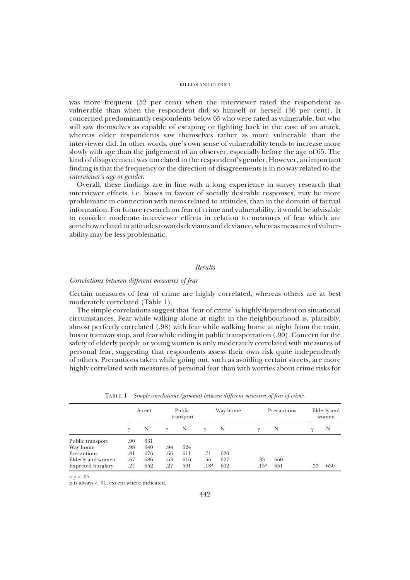was more frequent (52 per cent) when the interviewer rated the respondent as vulnerable than when the respondent did so himself or herself (36 per cent). It concerned predominantly respondents below 65 who were rated as vulnerable, but who still saw themselves as capable of escaping or fighting back in the case of an attack, whereas older respondents saw themselves rather as more vulnerable than the interviewer did. In other words, one's own sense of vulnerability tends to increase more slowly with age than the judgement of an observer, especially before the age of 65. The kind of disagreement was unrelated to the respondent's gender. However, an important finding is that the frequency or the direction of disagreements is in no way related to the *interviewer's age or gender*.

Overall, these findings are in line with a long experience in survey research that interviewer effects, i.e. biases in favour of socially desirable responses, may be more problematic in connection with items related to attitudes, than in the domain of factual information. For future research on fear of crime and vulnerability, it would be advisable to consider moderate interviewer effects in relation to measures of fear which are somehow related to attitudes towards deviants and deviance, whereas measures of vulnerability may be less problematic.

# *Results*

## *Correlations between different measures of fear*

Certain measures of fear of crime are highly correlated, whereas others are at best moderately correlated (Table 1).

The simple correlations suggest that 'fear of crime' is highly dependent on situational circumstances. Fear while walking alone at night in the neighbourhood is, plausibly, almost perfectly correlated (.98) with fear while walking home at night from the train, bus or tramway stop, and fear while riding in public transportation (.90). Concern for the safety of elderly people or young women is only moderately correlated with measures of personal fear, suggesting that respondents assess their own risk quite independently of others. Precautions taken while going out, such as avoiding certain streets, are more highly correlated with measures of personal fear than with worries about crime risks for

|                          |          | <b>Street</b> |          | Public<br>transport |                  | Way home |                  | Precautions |               | Elderly and<br>women |
|--------------------------|----------|---------------|----------|---------------------|------------------|----------|------------------|-------------|---------------|----------------------|
|                          | $\gamma$ | N             | $\gamma$ | N                   |                  | N        | $\gamma$         | N           | $\mathcal{U}$ | N                    |
| Public transport         | .90      | 631           |          |                     |                  |          |                  |             |               |                      |
| Way home                 | .98      | 640           | .94      | 624                 |                  |          |                  |             |               |                      |
| Precautions              | .81      | 676           | .66      | 611                 | .71              | 620      |                  |             |               |                      |
| Elderly and women        | .67      | 686           | .63      | 616                 | .56              | 627      | .33              | 660         |               |                      |
| <b>Expected burglary</b> | .24      | 652           | .27      | 591                 | .18 <sup>a</sup> | 602      | .15 <sup>a</sup> | 651         | .33           | 630                  |

TABLE 1 *Simple correlations (gamma) between different measures of fear of crime.*

a p < .05.

p is always < .01, except where indicated.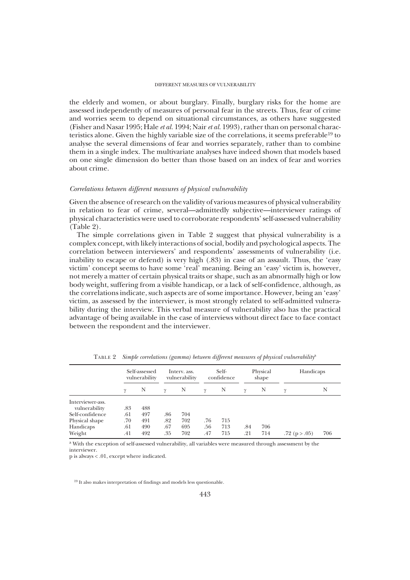the elderly and women, or about burglary. Finally, burglary risks for the home are assessed independently of measures of personal fear in the streets. Thus, fear of crime and worries seem to depend on situational circumstances, as others have suggested (Fisher and Nasar 1995; Hale *et al.* 1994; Nair *et al.* 1993), rather than on personal characteristics alone. Given the highly variable size of the correlations, it seems preferable19 to analyse the several dimensions of fear and worries separately, rather than to combine them in a single index. The multivariate analyses have indeed shown that models based on one single dimension do better than those based on an index of fear and worries about crime.

### *Correlations between different measures of physical vulnerability*

Given the absence of research on the validity of various measures of physical vulnerability in relation to fear of crime, several—admittedly subjective—interviewer ratings of physical characteristics were used to corroborate respondents' self-assessed vulnerability (Table 2).

The simple correlations given in Table 2 suggest that physical vulnerability is a complex concept, with likely interactions of social, bodily and psychological aspects. The correlation between interviewers' and respondents' assessments of vulnerability (i.e. inability to escape or defend) is very high (.83) in case of an assault. Thus, the 'easy victim' concept seems to have some 'real' meaning. Being an 'easy' victim is, however, not merely a matter of certain physical traits or shape, such as an abnormally high or low body weight, suffering from a visible handicap, or a lack of self-confidence, although, as the correlations indicate, such aspects are of some importance. However, being an 'easy' victim, as assessed by the interviewer, is most strongly related to self-admitted vulnerability during the interview. This verbal measure of vulnerability also has the practical advantage of being available in the case of interviews without direct face to face contact between the respondent and the interviewer.

|                  |          | Self-assessed<br>vulnerability |          | Interv. ass.<br>vulnerability |          | Self-<br>confidence |          | Physical<br>shape | Handicaps         |     |
|------------------|----------|--------------------------------|----------|-------------------------------|----------|---------------------|----------|-------------------|-------------------|-----|
|                  | $\gamma$ | N                              | $\gamma$ | N                             | $\gamma$ | N                   | $\gamma$ | N                 | $\gamma$          | N   |
| Interviewer-ass. |          |                                |          |                               |          |                     |          |                   |                   |     |
| vulnerability    | .83      | 488                            |          |                               |          |                     |          |                   |                   |     |
| Self-confidence  | .61      | 497                            | .86      | 704                           |          |                     |          |                   |                   |     |
| Physical shape   | .70      | 491                            | .82      | 702                           | .76      | 715                 |          |                   |                   |     |
| Handicaps        | .61      | 490                            | .67      | 695                           | .56      | 713                 | .84      | 706               |                   |     |
| Weight           | .41      | 492                            | .35      | 702                           | .47      | 715                 | .21      | 714               | .72 ( $p > .05$ ) | 706 |

TABLE 2 *Simple correlations (gamma) between different measures of physical vulnerability*<sup>a</sup>

<sup>a</sup> With the exception of self-assessed vulnerability, all variables were measured through assessment by the interviewer.

p is always < .01, except where indicated.

<sup>19</sup> It also makes interpretation of findings and models less questionable.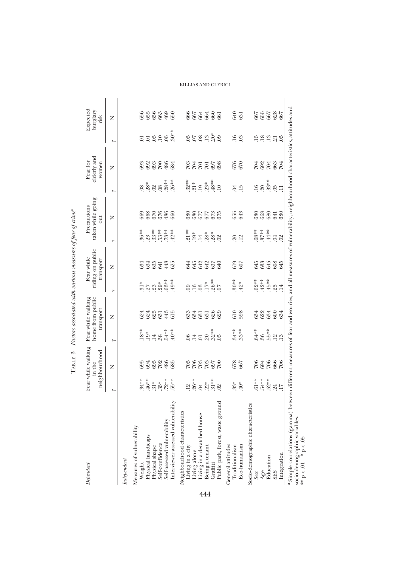| Dependent                          |                 | Fear while walking<br>in the |                                         | Fear while walking<br>home from public |                   | riding on public<br>Fear while |                 | taken while going<br>Precautions |                   | elderly and<br>Fear for |                | Expected        |
|------------------------------------|-----------------|------------------------------|-----------------------------------------|----------------------------------------|-------------------|--------------------------------|-----------------|----------------------------------|-------------------|-------------------------|----------------|-----------------|
|                                    |                 | neighbourhood                |                                         | transport                              |                   | transport                      |                 | out                              |                   | women                   |                | $burglary$ risk |
|                                    | $\succ$         | Z                            | $\rightarrow$                           | Z                                      | $\rightarrow$     | Z                              | $\rightarrow$   | Z                                | $\succ$           | Z                       | $\rightarrow$  | z               |
| Independent                        |                 |                              |                                         |                                        |                   |                                |                 |                                  |                   |                         |                |                 |
| Measures of vulnerability          |                 |                              |                                         |                                        |                   |                                |                 |                                  |                   |                         |                |                 |
| Weight                             | $.34***$        | 695                          | $18**$                                  | 624                                    | $31\,^*$          | 634                            | $.36***$<br>23  | 669                              | $08\,$            | 693                     | $\overline{0}$ | 656             |
| Physical handicaps                 | 46**            | 694                          | $19*$                                   | 624<br>625                             | $\overline{5}$    | 634                            |                 | 668                              | $.28*$            | 692                     |                | 655             |
| Self-confidence<br>Physical shape  | $31*$<br>$35*$  | 695<br>702                   | 38<br>.14                               | 631                                    | $.29*$<br>.23     | 635<br>641                     | $33**$          | 670<br>676                       | $02$<br>08        | 693<br>700              | 582            | 656<br>663      |
| Self-assessed vulnerability        | .72**           | 486                          | 54**                                    | 443                                    | .63**             | 448                            | $53**$<br>73**  | 486                              | $.28**$           | 486                     | 0 <sup>5</sup> | 469             |
| Interviewer-assessed vulnerability | 55**            | 685                          | $40**$                                  | 615                                    | 49**              | 625                            | .42**           | 660                              | 26**              | 684                     | $30**$         | 650             |
| Neighbourhood characteristics      |                 |                              |                                         |                                        |                   |                                |                 |                                  |                   |                         |                |                 |
| Living in a city                   | 12              | 705                          | 66                                      | 633                                    |                   | 644                            | $21**$          | 680                              |                   | 703                     |                | 666             |
| Living alone                       | $26***$         | 706                          | 14                                      | 634                                    | $\frac{09}{16}$   | 645                            | $.19*$          | 680                              | $.32**$<br>$.21*$ | 704                     | 5.59           | 667             |
| Living in a detatched house        | 04              | 703                          | $\overline{0}$                          | 631                                    | 0 <sup>3</sup>    | 642                            | 14              | 677                              | .19               | $701$                   |                | 664             |
| Being a tenant                     | $.22*$          | 703                          | $\overline{5}$                          | 631                                    | $17*$             | 642                            | $.28*$          | 677                              | $.23*$            | $701\,$                 | 13             | 664             |
| Graffiti                           | $.31**$         | 697                          |                                         | 626                                    | $.26***$          | 637                            | $.28*$          | 673                              | **8+              | 697                     | $.20*$         | 660             |
| Public park, forest, waste ground  | $\infty$        | 700                          | $.32**$<br>$.05$                        | 629                                    | $\sqrt{0}$        | 640                            | $\mathcal{O}^2$ | 675                              | $10\,$            | 698                     | $_{09}$        | 661             |
| General attitudes                  |                 |                              |                                         |                                        |                   |                                |                 |                                  |                   |                         |                |                 |
| Traditionalism                     | $33*$           | 678                          | $.34***$                                | 610                                    | $30**$            | 619<br>607                     | $\frac{20}{12}$ | 655                              | 25                | 676<br>670              | 16             | 640             |
| Eco-humanism                       | $40*$           | 667                          | $.33***$                                | 598                                    | $42*$             |                                |                 | 643                              |                   |                         | 0 <sup>3</sup> | 631             |
| Socio-demographic characteristics  |                 |                              |                                         |                                        |                   |                                |                 |                                  |                   |                         |                |                 |
| Sex                                | $.61**$         | 706                          | $.64***$                                | 634                                    | $.62**$           | 645                            | $68**$          | 680                              | .16               | $704$                   |                | 667             |
| Age                                | $.54***$        | 694                          | $.36$<br>$.55**$                        | 622                                    |                   | 633                            | $.37***$        | 668                              |                   |                         |                | 655             |
| Education                          | $.52***$        | 706                          |                                         | 634                                    | $.42***$<br>.45** | 645                            | $.44**$         | 680                              | $.39***$          | 692<br>704<br>663       | 1989700        | 667             |
| <b>SES</b>                         | .24             | 666                          | $\begin{array}{c} 12 \\ 13 \end{array}$ | 600                                    | 25                | 608                            | .04             | 641                              | 0 <sup>5</sup>    |                         |                | 628             |
| Integration                        | $\overline{17}$ | 706                          |                                         | 634                                    | .14               | 645                            | .02             | 680                              | $\Xi$             | 704                     |                | 667             |

compresentations igammal<br>socio-demographic variables.<br>\*\* p < .01 \* p < .05 socio-demographic variables. \*\* p < .01 \* p < .05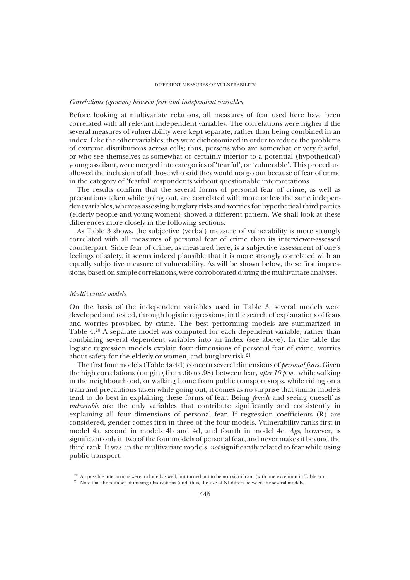### *Correlations (gamma) between fear and independent variables*

Before looking at multivariate relations, all measures of fear used here have been correlated with all relevant independent variables. The correlations were higher if the several measures of vulnerability were kept separate, rather than being combined in an index. Like the other variables, they were dichotomized in order to reduce the problems of extreme distributions across cells; thus, persons who are somewhat or very fearful, or who see themselves as somewhat or certainly inferior to a potential (hypothetical) young assailant, were merged into categories of 'fearful', or 'vulnerable'. This procedure allowed the inclusion of all those who said they would not go out because of fear of crime in the category of 'fearful' respondents without questionable interpretations.

The results confirm that the several forms of personal fear of crime, as well as precautions taken while going out, are correlated with more or less the same independent variables, whereas assessing burglary risks and worries for hypothetical third parties (elderly people and young women) showed a different pattern. We shall look at these differences more closely in the following sections.

As Table 3 shows, the subjective (verbal) measure of vulnerability is more strongly correlated with all measures of personal fear of crime than its interviewer-assessed counterpart. Since fear of crime, as measured here, is a subjective assessment of one's feelings of safety, it seems indeed plausible that it is more strongly correlated with an equally subjective measure of vulnerability. As will be shown below, these first impressions, based on simple correlations, were corroborated during the multivariate analyses.

## *Multivariate models*

On the basis of the independent variables used in Table 3, several models were developed and tested, through logistic regressions, in the search of explanations of fears and worries provoked by crime. The best performing models are summarized in Table 4.20 A separate model was computed for each dependent variable, rather than combining several dependent variables into an index (see above). In the table the logistic regression models explain four dimensions of personal fear of crime, worries about safety for the elderly or women, and burglary risk.<sup>21</sup>

The first four models (Table 4a-4d) concern several dimensions of *personal fears*. Given the high correlations (ranging from .66 to .98) between fear, *after 10 p.m.*, while walking in the neighbourhood, or walking home from public transport stops, while riding on a train and precautions taken while going out, it comes as no surprise that similar models tend to do best in explaining these forms of fear. Being *female* and seeing oneself as *vulnerable* are the only variables that contribute significantly and consistently in explaining all four dimensions of personal fear. If regression coefficients (R) are considered, gender comes first in three of the four models. Vulnerability ranks first in model 4a, second in models 4b and 4d, and fourth in model 4c. *Age*, however, is significant only in two of the four models of personal fear, and never makes it beyond the third rank. It was, in the multivariate models, *not* significantly related to fear while using public transport.

 $20$  All possible interactions were included as well, but turned out to be non significant (with one exception in Table 4c).

<sup>&</sup>lt;sup>21</sup> Note that the number of missing observations (and, thus, the size of N) differs between the several models.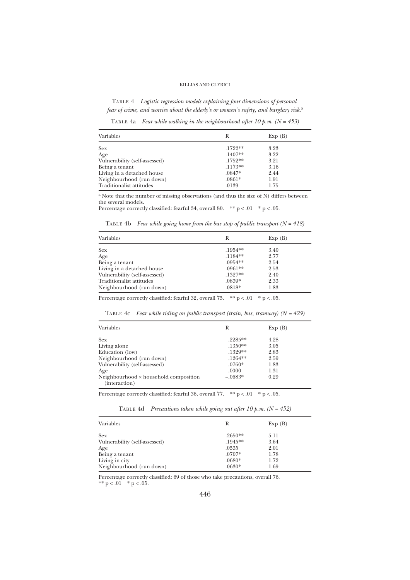TABLE 4 *Logistic regression models explaining four dimensions of personal* fear of crime, and worries about the elderly's or women's safety, and burglary risk.<sup>a</sup>

TABLE 4a *Fear while walking in the neighbourhood after 10 p.m. (N = 453)*

| Variables                     | R         | Exp(B) |
|-------------------------------|-----------|--------|
| <b>Sex</b>                    | $.1722**$ | 3.23   |
| Age                           | $.1407**$ | 3.22   |
| Vulnerability (self-assessed) | $.1752**$ | 3.21   |
| Being a tenant                | $.1173**$ | 3.16   |
| Living in a detached house    | $.0847*$  | 2.44   |
| Neighbourhood (run down)      | $.0861*$  | 1.91   |
| Traditionalist attitudes      | .0139     | 1.75   |

 $^{\rm a}$  Note that the number of missing observations (and thus the size of N) differs between the several models.

Percentage correctly classified: fearful 34, overall 80.  $*$  p < .01  $*$  p < .05.

|  | TABLE 4b Fear while going home from the bus stop of public transport $(N = 418)$ |  |  |  |  |  |  |  |  |  |  |
|--|----------------------------------------------------------------------------------|--|--|--|--|--|--|--|--|--|--|
|--|----------------------------------------------------------------------------------|--|--|--|--|--|--|--|--|--|--|

| Variables                     | R         | Exp(B) |
|-------------------------------|-----------|--------|
| <b>Sex</b>                    | $.1954**$ | 3.40   |
| Age                           | $.1184**$ | 2.77   |
| Being a tenant                | $.0954**$ | 2.54   |
| Living in a detached house    | $.0961**$ | 2.53   |
| Vulnerability (self-assessed) | $.1327**$ | 2.40   |
| Traditionalist attitudes      | .0839*    | 2.33   |
| Neighbourhood (run down)      | $.0818*$  | 1.83   |

Percentage correctly classified: fearful 32, overall 75. \*\* p < .01 \* p < .05.

TABLE 4c *Fear while riding on public transport (train, bus, tramway) (N = 429)*

| Variables                                                     | R         | Exp(B) |
|---------------------------------------------------------------|-----------|--------|
| <b>Sex</b>                                                    | $.2285**$ | 4.28   |
| Living alone                                                  | $.1350**$ | 3.05   |
| Education (low)                                               | .1329**   | 2.83   |
| Neighbourhood (run down)                                      | $.1264**$ | 2.59   |
| Vulnerability (self-assessed)                                 | $.0760*$  | 1.83   |
| Age                                                           | .0000     | 1.31   |
| Neighbourhood $\times$ household composition<br>(interaction) | $-.0683*$ | 0.29   |

Percentage correctly classified: fearful 36, overall 77. \*\*  $p < .01$  \*  $p < .05$ .

|  | TABLE 4d <i>Precautions taken while going out after</i> 10 $p$ <i>m.</i> ( $N = 452$ ) |  |  |  |  |  |  |  |  |  |
|--|----------------------------------------------------------------------------------------|--|--|--|--|--|--|--|--|--|
|--|----------------------------------------------------------------------------------------|--|--|--|--|--|--|--|--|--|

| Variables                     | R         | Exp(B) |  |
|-------------------------------|-----------|--------|--|
| <b>Sex</b>                    | $.2650**$ | 5.11   |  |
| Vulnerability (self-assessed) | $.1945**$ | 3.64   |  |
| Age                           | .0535     | 2.01   |  |
| Being a tenant                | $.0707*$  | 1.78   |  |
| Living in city                | $.0680*$  | 1.72   |  |
| Neighbourhood (run down)      | $.0630*$  | 1.69   |  |

Percentage correctly classified: 69 of those who take precautions, overall 76. \*\*  $p < 01$  \*  $p < 05$ .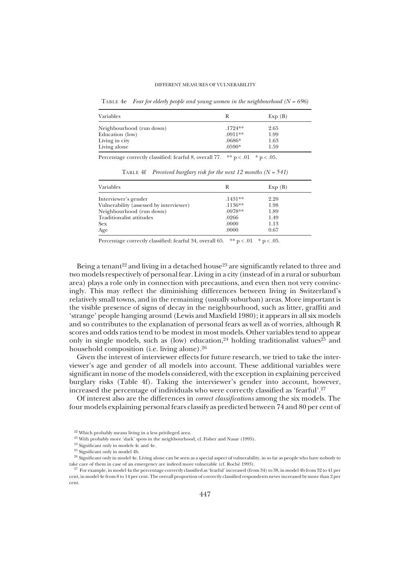TABLE  $4e$  *Fear for elderly people and young women in the neighbourhood* ( $N = 696$ )

| Variables                |           | Exp(B) |
|--------------------------|-----------|--------|
| Neighbourhood (run down) | $.1724**$ | 2.65   |
| Education (low)          | $.0911**$ | 1.99   |
| Living in city           | $.0686*$  | 1.63   |
| Living alone             | $.0590*$  | 1.59   |

Percentage correctly classified: fearful 8, overall 77. \*\*  $p < .01$  \*  $p < .05$ .

| Variables                               | R         | Exp(B) |
|-----------------------------------------|-----------|--------|
| Interviewer's gender                    | $.1431**$ | 2.20   |
| Vulnerability (assessed by interviewer) | $.1136**$ | 1.98   |
| Neighbourhood (run down)                | .0978**   | 1.89   |
| Traditionalist attitudes                | .0266     | 1.49   |
| <b>Sex</b>                              | .0000     | 1.13   |
| Age                                     | .0000     | 0.67   |

TABLE 4f *Perceived burglary risk for the next 12 months (N = 541)*

Percentage correctly classified: fearful 34, overall 65. \*\*  $p < .01$  \*  $p < .05$ .

Being a tenant<sup>22</sup> and living in a detached house<sup>23</sup> are significantly related to three and two models respectively of personal fear. Living in a city (instead of in a rural or suburban area) plays a role only in connection with precautions, and even then not very convincingly. This may reflect the diminishing differences between living in Switzerland's relatively small towns, and in the remaining (usually suburban) areas. More important is the visible presence of signs of decay in the neighbourhood, such as litter, graffiti and 'strange' people hanging around (Lewis and Maxfield 1980); it appears in all six models and so contributes to the explanation of personal fears as well as of worries, although R scores and odds ratios tend to be modest in most models. Other variables tend to appear only in single models, such as (low) education,  $24$  holding traditionalist values  $25$  and household composition (i.e. living alone).26

Given the interest of interviewer effects for future research, we tried to take the interviewer's age and gender of all models into account. These additional variables were significant in none of the models considered, with the exception in explaining perceived burglary risks (Table 4f). Taking the interviewer's gender into account, however, increased the percentage of individuals who were correctly classified as 'fearful'.27

Of interest also are the differences in *correct classifications* among the six models. The four models explaining personal fears classify as predicted between 74 and 80 per cent of

 $22$  Which probably means living in a less privileged area.

<sup>&</sup>lt;sup>23</sup> With probably more 'dark' spots in the neighbourhood, cf. Fisher and Nasar (1995).

<sup>&</sup>lt;sup>24</sup> Significant only in models 4c and 4e.

 $25$  Significant only in model 4b.

<sup>&</sup>lt;sup>26</sup> Significant only in model 4e. Living alone can be seen as a special aspect of vulnerability, in so far as people who have nobody to take care of them in case of an emergency are indeed more vulnerable (cf. Roché 1993).

<sup>27</sup> For example, in model 4a the percentage correctly classified as 'fearful' increased (from 34) to 38, in model 4b from 32 to 41 per cent, in model 4e from 8 to 14 per cent. The overall proportion of correctly classified respondents never increased by more than 2 per cent.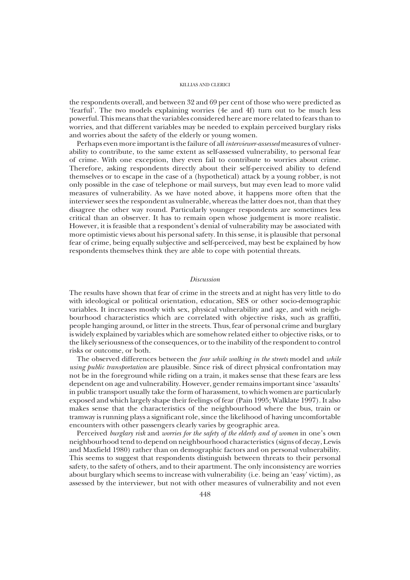the respondents overall, and between 32 and 69 per cent of those who were predicted as 'fearful'. The two models explaining worries (4e and 4f) turn out to be much less powerful. This means that the variables considered here are more related to fears than to worries, and that different variables may be needed to explain perceived burglary risks and worries about the safety of the elderly or young women.

Perhaps even more important is the failure of all *interviewer-assessed* measures of vulnerability to contribute, to the same extent as self-assessed vulnerability, to personal fear of crime. With one exception, they even fail to contribute to worries about crime. Therefore, asking respondents directly about their self-perceived ability to defend themselves or to escape in the case of a (hypothetical) attack by a young robber, is not only possible in the case of telephone or mail surveys, but may even lead to more valid measures of vulnerability. As we have noted above, it happens more often that the interviewer sees the respondent as vulnerable, whereas the latter does not, than that they disagree the other way round. Particularly younger respondents are sometimes less critical than an observer. It has to remain open whose judgement is more realistic. However, it is feasible that a respondent's denial of vulnerability may be associated with more optimistic views about his personal safety. In this sense, it is plausible that personal fear of crime, being equally subjective and self-perceived, may best be explained by how respondents themselves think they are able to cope with potential threats.

## *Discussion*

The results have shown that fear of crime in the streets and at night has very little to do with ideological or political orientation, education, SES or other socio-demographic variables. It increases mostly with sex, physical vulnerability and age, and with neighbourhood characteristics which are correlated with objective risks, such as graffiti, people hanging around, or litter in the streets. Thus, fear of personal crime and burglary is widely explained by variables which are somehow related either to objective risks, or to the likely seriousness of the consequences, or to the inability of the respondent to control risks or outcome, or both.

The observed differences between the *fear while walking in the streets* model and *while using public transportation* are plausible. Since risk of direct physical confrontation may not be in the foreground while riding on a train, it makes sense that these fears are less dependent on age and vulnerability. However, gender remains important since 'assaults' in public transport usually take the form of harassment, to which women are particularly exposed and which largely shape their feelings of fear (Pain 1995; Walklate 1997). It also makes sense that the characteristics of the neighbourhood where the bus, train or tramway is running plays a significant role, since the likelihood of having uncomfortable encounters with other passengers clearly varies by geographic area.

Perceived *burglary risk* and *worries for the safety of the elderly and of women* in one's own neighbourhood tend to depend on neighbourhood characteristics (signs of decay, Lewis and Maxfield 1980) rather than on demographic factors and on personal vulnerability. This seems to suggest that respondents distinguish between threats to their personal safety, to the safety of others, and to their apartment. The only inconsistency are worries about burglary which seems to increase with vulnerability (i.e. being an 'easy' victim), as assessed by the interviewer, but not with other measures of vulnerability and not even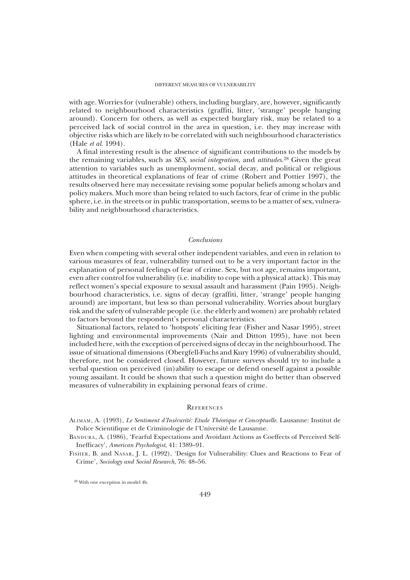with age. Worries for (vulnerable) others, including burglary, are, however, significantly related to neighbourhood characteristics (graffiti, litter, 'strange' people hanging around). Concern for others, as well as expected burglary risk, may be related to a perceived lack of social control in the area in question, i.e. they may increase with objective risks which are likely to be correlated with such neighbourhood characteristics (Hale *et al.* 1994).

A final interesting result is the absence of significant contributions to the models by the remaining variables, such as *SES, social integration,* and *attitudes.*<sup>28</sup> Given the great attention to variables such as unemployment, social decay, and political or religious attitudes in theoretical explanations of fear of crime (Robert and Pottier 1997), the results observed here may necessitate revising some popular beliefs among scholars and policy makers. Much more than being related to such factors, fear of crime in the public sphere, i.e. in the streets or in public transportation, seems to be a matter of sex, vulnerability and neighbourhood characteristics.

# *Conclusions*

Even when competing with several other independent variables, and even in relation to various measures of fear, vulnerability turned out to be a very important factor in the explanation of personal feelings of fear of crime. Sex, but not age, remains important, even after control for vulnerability (i.e. inability to cope with a physical attack). This may reflect women's special exposure to sexual assault and harassment (Pain 1995). Neighbourhood characteristics, i.e. signs of decay (graffiti, litter, 'strange' people hanging around) are important, but less so than personal vulnerability. Worries about burglary risk and the safety of vulnerable people (i.e. the elderly and women) are probably related to factors beyond the respondent's personal characteristics.

Situational factors, related to 'hotspots' eliciting fear (Fisher and Nasar 1995), street lighting and environmental improvements (Nair and Ditton 1995), have not been included here, with the exception of perceived signs of decay in the neighbourhood. The issue of situational dimensions (Obergfell-Fuchs and Kury 1996) of vulnerability should, therefore, not be considered closed. However, future surveys should try to include a verbal question on perceived (in)ability to escape or defend oneself against a possible young assailant. It could be shown that such a question might do better than observed measures of vulnerability in explaining personal fears of crime.

### **REFERENCES**

ALIMAM, A. (1993), *Le Sentiment d'Insécurité: Etude Théorique et Conceptuelle*. Lausanne: Institut de Police Scientifique et de Criminologie de l'Université de Lausanne.

BANDURA, A. (1986), 'Fearful Expectations and Avoidant Actions as Coeffects of Perceived Self-Inefficacy', *American Psychologist*, 41: 1389–91.

FISHER, B. and NASAR, J. L. (1992), 'Design for Vulnerability: Clues and Reactions to Fear of Crime', *Sociology and Social Research*, 76: 48–56.

<sup>28</sup> With one exception in model 4b.